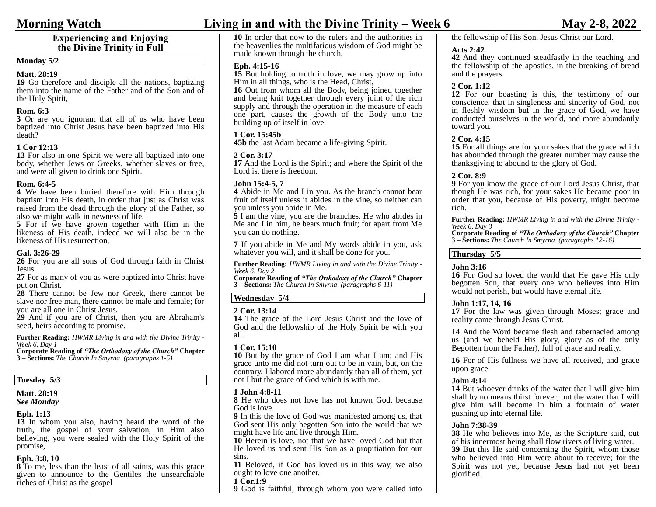## **Experiencing and Enjoying the Divine Trinity in Full**

#### **Monday 5/2**

#### **Matt. 28:19**

**19** Go therefore and disciple all the nations, baptizing them into the name of the Father and of the Son and of the Holy Spirit, 

#### **Rom. 6:3**

**3** Or are you ignorant that all of us who have been baptized into Christ Jesus have been baptized into His death? 

### **1 Cor 12:13**

**13** For also in one Spirit we were all baptized into one body, whether Jews or Greeks, whether slaves or free, and were all given to drink one Spirit. 

#### **Rom. 6:4-5**

**4** We have been buried therefore with Him through baptism into His death, in order that just as Christ was raised from the dead through the glory of the Father, so also we might walk in newness of life.

**5** For if we have grown together with Him in the likeness of His death, indeed we will also be in the likeness of His resurrection, 

#### **Gal. 3:26-29**

**26** For you are all sons of God through faith in Christ Jesus.

**27** For as many of you as were baptized into Christ have put on Christ.

**28** There cannot be Jew nor Greek, there cannot be slave nor free man, there cannot be male and female; for you are all one in Christ Jesus.

**29** And if you are of Christ, then you are Abraham's seed, heirs according to promise. 

**Further Reading:** *HWMR Living in and with the Divine Trinity - Week 6, Day 1*

**Corporate Reading of** *"The Orthodoxy of the Church"* **Chapter 3 – Sections:** *The Church In Smyrna (paragraphs 1-5)*

#### **Tuesday 5/3**

# **Matt. 28:19** *See Monday*

#### **Eph. 1:13**

**13** In whom you also, having heard the word of the truth, the gospel of your salvation, in Him also believing, you were sealed with the Holy Spirit of the promise, 

#### **Eph. 3:8, 10**

**8** To me, less than the least of all saints, was this grace given to announce to the Gentiles the unsearchable riches of Christ as the gospel

# **Morning Watch Living in and with the Divine Trinity – Week 6 May 2-8, 2022**

**10** In order that now to the rulers and the authorities in the heavenlies the multifarious wisdom of God might be made known through the church, 

#### **Eph. 4:15-16**

**15** But holding to truth in love, we may grow up into Him in all things, who is the Head, Christ,

**16** Out from whom all the Body, being joined together and being knit together through every joint of the rich supply and through the operation in the measure of each one part, causes the growth of the Body unto the building up of itself in love. 

### **1 Cor. 15:45b**

**45b** the last Adam became a life-giving Spirit. 

#### **2 Cor. 3:17**

**17** And the Lord is the Spirit; and where the Spirit of the Lord is, there is freedom.

#### **John 15:4-5, 7**

**4** Abide in Me and I in you. As the branch cannot bear fruit of itself unless it abides in the vine, so neither can you unless you abide in Me.

**5** I am the vine; you are the branches. He who abides in Me and I in him, he bears much fruit; for apart from Me you can do nothing. 

**7** If you abide in Me and My words abide in you, ask whatever you will, and it shall be done for you. 

**Further Reading:** *HWMR Living in and with the Divine Trinity - Week 6, Day 2*

**Corporate Reading of** *"The Orthodoxy of the Church"* **Chapter 3 – Sections:** *The Church In Smyrna (paragraphs 6-11)*

#### **Wednesday 5/4**

#### **2 Cor. 13:14**

**14** The grace of the Lord Jesus Christ and the love of God and the fellowship of the Holy Spirit be with you all. 

#### **1 Cor. 15:10**

**10** But by the grace of God I am what I am; and His grace unto me did not turn out to be in vain, but, on the contrary, I labored more abundantly than all of them, yet not I but the grace of God which is with me. 

#### **1 John 4:8-11**

**8** He who does not love has not known God, because God is love.

**9** In this the love of God was manifested among us, that God sent His only begotten Son into the world that we might have life and live through Him.

**10** Herein is love, not that we have loved God but that He loved us and sent His Son as a propitiation for our sins.

**11** Beloved, if God has loved us in this way, we also ought to love one another.

#### **1 Cor.1:9**

**9** God is faithful, through whom you were called into

# the fellowship of His Son, Jesus Christ our Lord.

#### **Acts 2:42**

**42** And they continued steadfastly in the teaching and the fellowship of the apostles, in the breaking of bread and the prayers. 

#### **2 Cor. 1:12**

**12** For our boasting is this, the testimony of our conscience, that in singleness and sincerity of God, not in fleshly wisdom but in the grace of God, we have conducted ourselves in the world, and more abundantly toward you. 

#### **2 Cor. 4:15**

**15** For all things are for your sakes that the grace which has abounded through the greater number may cause the thanksgiving to abound to the glory of God. 

#### **2 Cor. 8:9**

**9** For you know the grace of our Lord Jesus Christ, that though He was rich, for your sakes He became poor in order that you, because of His poverty, might become rich.

 **Further Reading:** *HWMR Living in and with the Divine Trinity - Week 6, Day 3*

**Corporate Reading of** *"The Orthodoxy of the Church"* **Chapter 3 – Sections:** *The Church In Smyrna (paragraphs 12-16)*

#### **Thursday 5/5**

#### **John 3:16**

**16** For God so loved the world that He gave His only begotten Son, that every one who believes into Him would not perish, but would have eternal life. 

#### **John 1:17, 14, 16**

**17** For the law was given through Moses; grace and reality came through Jesus Christ. 

**14** And the Word became flesh and tabernacled among us (and we beheld His glory, glory as of the only Begotten from the Father), full of grace and reality. 

**16** For of His fullness we have all received, and grace upon grace. 

#### **John 4:14**

**14** But whoever drinks of the water that I will give him shall by no means thirst forever; but the water that I will give him will become in him a fountain of water gushing up into eternal life. 

#### **John 7:38-39**

**38** He who believes into Me, as the Scripture said, out of his innermost being shall flow rivers of living water. **39** But this He said concerning the Spirit, whom those who believed into Him were about to receive; for the Spirit was not yet, because Jesus had not yet been glorified.